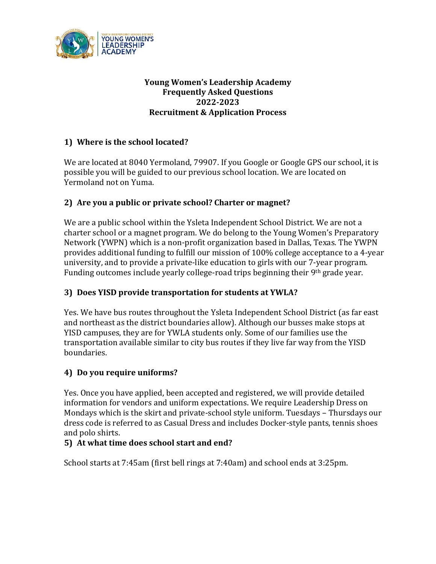

## **Young Women's Leadership Academy Frequently Asked Questions 2022-2023 Recruitment & Application Process**

# **1) Where is the school located?**

We are located at 8040 Yermoland, 79907. If you Google or Google GPS our school, it is possible you will be guided to our previous school location. We are located on Yermoland not on Yuma.

## **2) Are you a public or private school? Charter or magnet?**

We are a public school within the Ysleta Independent School District. We are not a charter school or a magnet program. We do belong to the Young Women's Preparatory Network (YWPN) which is a non-profit organization based in Dallas, Texas. The YWPN provides additional funding to fulfill our mission of 100% college acceptance to a 4-year university, and to provide a private-like education to girls with our 7-year program. Funding outcomes include yearly college-road trips beginning their 9<sup>th</sup> grade year.

## **3) Does YISD provide transportation for students at YWLA?**

Yes. We have bus routes throughout the Ysleta Independent School District (as far east and northeast as the district boundaries allow). Although our busses make stops at YISD campuses, they are for YWLA students only. Some of our families use the transportation available similar to city bus routes if they live far way from the YISD boundaries.

## **4) Do you require uniforms?**

Yes. Once you have applied, been accepted and registered, we will provide detailed information for vendors and uniform expectations. We require Leadership Dress on Mondays which is the skirt and private-school style uniform. Tuesdays – Thursdays our dress code is referred to as Casual Dress and includes Docker-style pants, tennis shoes and polo shirts.

#### **5) At what time does school start and end?**

School starts at 7:45am (first bell rings at 7:40am) and school ends at 3:25pm.